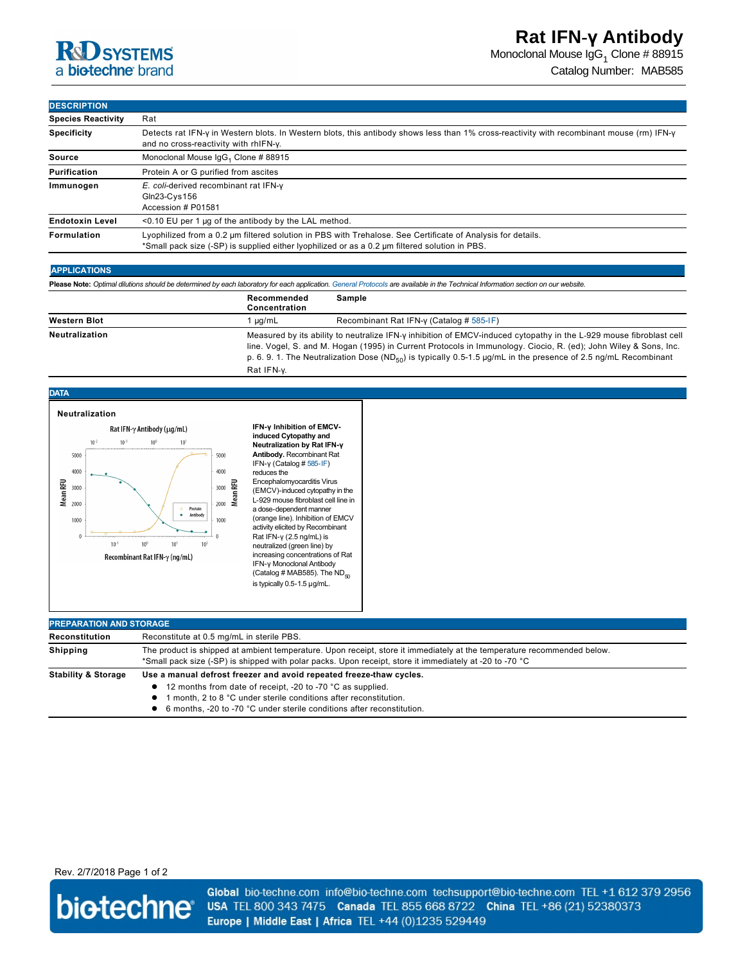Monoclonal Mouse IgG $_1$  Clone # 88915

Catalog Number: MAB585

### **DESCRIPTION**

| <b>Species Reactivity</b> | Rat                                                                                                                                                                                                           |  |  |
|---------------------------|---------------------------------------------------------------------------------------------------------------------------------------------------------------------------------------------------------------|--|--|
| <b>Specificity</b>        | Detects rat IFN-y in Western blots. In Western blots, this antibody shows less than 1% cross-reactivity with recombinant mouse (rm) IFN-y<br>and no cross-reactivity with rhIFN-y.                            |  |  |
| Source                    | Monoclonal Mouse IgG <sub>1</sub> Clone # 88915                                                                                                                                                               |  |  |
| Purification              | Protein A or G purified from ascites                                                                                                                                                                          |  |  |
| Immunogen                 | E. coli-derived recombinant rat IFN-y<br>$Gln23-Cys156$<br>Accession # P01581                                                                                                                                 |  |  |
| <b>Endotoxin Level</b>    | $\leq$ 0.10 EU per 1 µg of the antibody by the LAL method.                                                                                                                                                    |  |  |
| Formulation               | Lyophilized from a 0.2 um filtered solution in PBS with Trehalose. See Certificate of Analysis for details.<br>*Small pack size (-SP) is supplied either lyophilized or as a 0.2 µm filtered solution in PBS. |  |  |

### **APPLICATIONS**

|  |  | Please Note: Optimal dilutions should be determined by each laboratory for each application. General Protocols are available in the Technical Information section on our website. |
|--|--|-----------------------------------------------------------------------------------------------------------------------------------------------------------------------------------|
|  |  |                                                                                                                                                                                   |

|                       | Recommended<br>Concentration | Sample                                                                                                                                                                                                                                                                                                                                                                 |
|-----------------------|------------------------------|------------------------------------------------------------------------------------------------------------------------------------------------------------------------------------------------------------------------------------------------------------------------------------------------------------------------------------------------------------------------|
| <b>Western Blot</b>   | ua/mL                        | Recombinant Rat IFN-y (Catalog # $585$ -IF)                                                                                                                                                                                                                                                                                                                            |
| <b>Neutralization</b> | Rat IFN-v.                   | Measured by its ability to neutralize IFN-y inhibition of EMCV-induced cytopathy in the L-929 mouse fibroblast cell<br>line. Vogel, S. and M. Hogan (1995) in Current Protocols in Immunology. Ciocio, R. (ed); John Wiley & Sons, Inc.<br>p. 6. 9. 1. The Neutralization Dose (ND <sub>50</sub> ) is typically 0.5-1.5 µg/mL in the presence of 2.5 ng/mL Recombinant |



● 12 months from date of receipt, -20 to -70 °C as supplied.

- **1** month, 2 to 8 °C under sterile conditions after reconstitution.
- 6 months, -20 to -70 °C under sterile conditions after reconstitution.

## Rev. 2/7/2018 Page 1 of 2



Global bio-techne.com info@bio-techne.com techsupport@bio-techne.com TEL +1 612 379 2956 USA TEL 800 343 7475 Canada TEL 855 668 8722 China TEL +86 (21) 52380373 Europe | Middle East | Africa TEL +44 (0)1235 529449